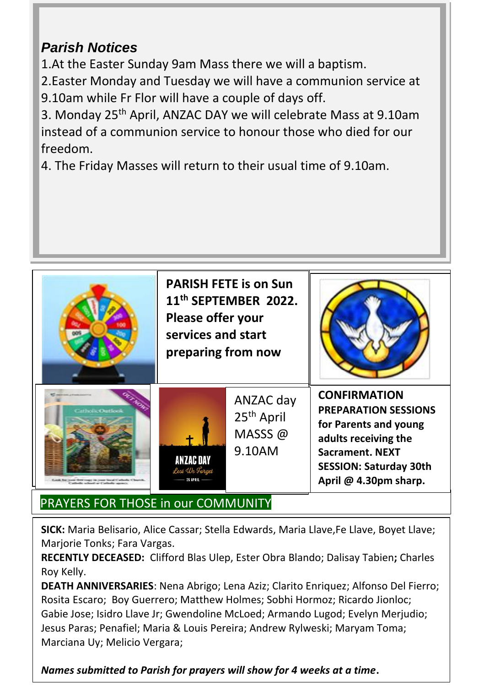## *Parish Notices*

1.At the Easter Sunday 9am Mass there we will a baptism.

2.Easter Monday and Tuesday we will have a communion service at 9.10am while Fr Flor will have a couple of days off.

3. Monday 25th April, ANZAC DAY we will celebrate Mass at 9.10am instead of a communion service to honour those who died for our freedom.

4. The Friday Masses will return to their usual time of 9.10am.



## PRAYERS FOR THOSE in our COMMUNITY

**SICK:** Maria Belisario, Alice Cassar; Stella Edwards, Maria Llave,Fe Llave, Boyet Llave; Marjorie Tonks; Fara Vargas.

**RECENTLY DECEASED:** Clifford Blas Ulep, Ester Obra Blando; Dalisay Tabien**;** Charles Roy Kelly.

**DEATH ANNIVERSARIES**: Nena Abrigo; Lena Aziz; Clarito Enriquez; Alfonso Del Fierro; Rosita Escaro; Boy Guerrero; Matthew Holmes; Sobhi Hormoz; Ricardo Jionloc; Gabie Jose; Isidro Llave Jr; Gwendoline McLoed; Armando Lugod; Evelyn Merjudio; Jesus Paras; Penafiel; Maria & Louis Pereira; Andrew Rylweski; Maryam Toma; Marciana Uy; Melicio Vergara;

*Names submitted to Parish for prayers will show for 4 weeks at a time***.**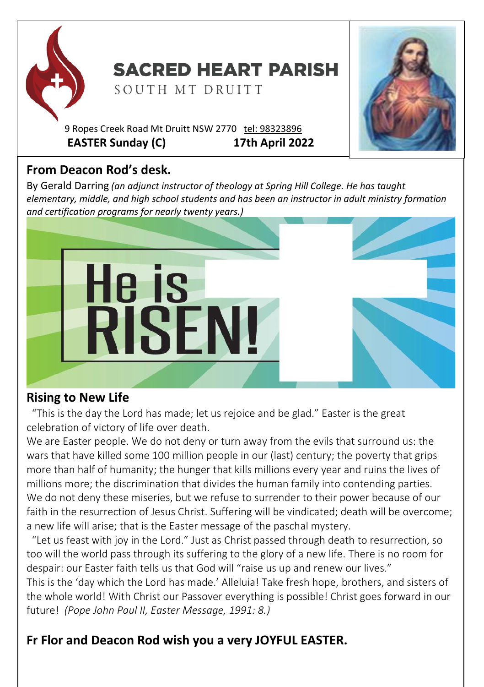

# **SACRED HEART PARISH**

SOUTH MT DRUITT

9 Ropes Creek Road Mt Druitt NSW 2770 tel: [98323896](tel:98323896) **EASTER Sunday (C) 17th April 2022**

## **From Deacon Rod's desk.**

By Gerald Darring *(an adjunct instructor of theology at Spring Hill College. He has taught elementary, middle, and high school students and has been an instructor in adult ministry formation and certification programs for nearly twenty years.)*



### **Rising to New Life**

 "This is the day the Lord has made; let us rejoice and be glad." Easter is the great celebration of victory of life over death.

We are Easter people. We do not deny or turn away from the evils that surround us: the wars that have killed some 100 million people in our (last) century; the poverty that grips more than half of humanity; the hunger that kills millions every year and ruins the lives of millions more; the discrimination that divides the human family into contending parties. We do not deny these miseries, but we refuse to surrender to their power because of our faith in the resurrection of Jesus Christ. Suffering will be vindicated; death will be overcome; a new life will arise; that is the Easter message of the paschal mystery.

 "Let us feast with joy in the Lord." Just as Christ passed through death to resurrection, so too will the world pass through its suffering to the glory of a new life. There is no room for despair: our Easter faith tells us that God will "raise us up and renew our lives."

This is the 'day which the Lord has made.' Alleluia! Take fresh hope, brothers, and sisters of the whole world! With Christ our Passover everything is possible! Christ goes forward in our future! *(Pope John Paul II, Easter Message, 1991: 8.)*

## **Fr Flor and Deacon Rod wish you a very JOYFUL EASTER.**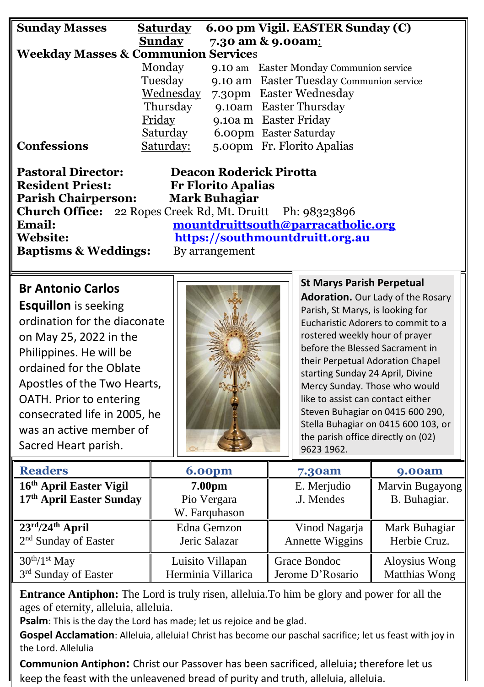| <b>Sunday Masses</b>                           | <b>Saturday</b> | 6.00 pm Vigil. EASTER Sunday (C)         |  |  |  |  |
|------------------------------------------------|-----------------|------------------------------------------|--|--|--|--|
|                                                | Sunday          | 7.30 am & 9.00am:                        |  |  |  |  |
| <b>Weekday Masses &amp; Communion Services</b> |                 |                                          |  |  |  |  |
|                                                | Monday          | 9.10 am Easter Monday Communion service  |  |  |  |  |
|                                                | Tuesday         | 9.10 am Easter Tuesday Communion service |  |  |  |  |
|                                                | Wednesday       | 7.30pm Easter Wednesday                  |  |  |  |  |
|                                                | Thursday        | 9.10am Easter Thursday                   |  |  |  |  |
|                                                | Friday          | 9.10a m Easter Friday                    |  |  |  |  |
|                                                | <b>Saturday</b> | 6.00pm Easter Saturday                   |  |  |  |  |
| <b>Confessions</b>                             | Saturday:       | 5.00pm Fr. Florito Apalias               |  |  |  |  |

| <b>Deacon Roderick Pirotta</b>                                   |  |  |
|------------------------------------------------------------------|--|--|
| <b>Fr Florito Apalias</b>                                        |  |  |
| <b>Mark Buhagiar</b>                                             |  |  |
| <b>Church Office:</b> 22 Ropes Creek Rd, Mt. Druitt Ph: 98323896 |  |  |
| mountdruittsouth@parracatholic.org                               |  |  |
| https://southmountdruitt.org.au                                  |  |  |
| By arrangement                                                   |  |  |
|                                                                  |  |  |

### **Br Antonio Carlos**

**Esquillon** is seeking ordination for the diaconate on May 25, 2022 in the Philippines. He will be ordained for the Oblate Apostles of the Two Hearts, OATH. Prior to entering consecrated life in 2005, he was an active member of Sacred Heart parish.



**St Marys Parish Perpetual Adoration.** Our Lady of the Rosary Parish, St Marys, is looking for Eucharistic Adorers to commit to a rostered weekly hour of prayer before the Blessed Sacrament in their Perpetual Adoration Chapel starting Sunday 24 April, Divine Mercy Sunday. Those who would like to assist can contact either Steven Buhagiar on 0415 600 290, Stella Buhagiar on 0415 600 103, or the parish office directly on (02) 9623 1962.

| <b>Readers</b>                        | <b>6.00pm</b>      | 7.30am           | <b>9.00am</b>   |
|---------------------------------------|--------------------|------------------|-----------------|
| 16th April Easter Vigil               | 7.00 <sub>pm</sub> | E. Merjudio      | Marvin Bugayong |
| 17th April Easter Sunday              | Pio Vergara        | J. Mendes        | B. Buhagiar.    |
|                                       | W. Farquhason      |                  |                 |
| $23^{\text{rd}}/24^{\text{th}}$ April | Edna Gemzon        | Vinod Nagarja    | Mark Buhagiar   |
| 2 <sup>nd</sup> Sunday of Easter      | Jeric Salazar      | Annette Wiggins  | Herbie Cruz.    |
| $30th/1st$ May                        | Luisito Villapan   | Grace Bondoc     | Aloysius Wong   |
| 3 <sup>rd</sup> Sunday of Easter      | Herminia Villarica | Jerome D'Rosario | Matthias Wong   |

**Entrance Antiphon:** The Lord is truly risen, alleluia.To him be glory and power for all the ages of eternity, alleluia, alleluia.

**Psalm**: This is the day the Lord has made; let us rejoice and be glad.

**Gospel Acclamation**: Alleluia, alleluia! Christ has become our paschal sacrifice; let us feast with joy in the Lord. Allelulia

**Communion Antiphon:** Christ our Passover has been sacrificed, alleluia**;** therefore let us keep the feast with the unleavened bread of purity and truth, alleluia, alleluia.